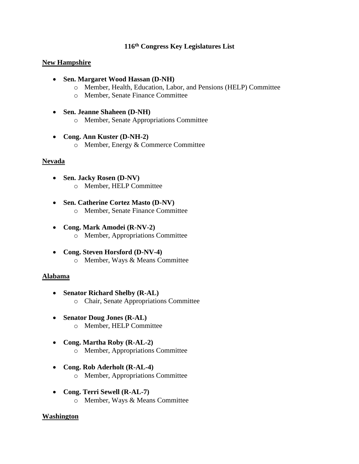## **116th Congress Key Legislatures List**

### **New Hampshire**

- **Sen. Margaret Wood Hassan (D-NH)**
	- o Member, Health, Education, Labor, and Pensions (HELP) Committee
	- o Member, Senate Finance Committee
- **Sen. Jeanne Shaheen (D-NH)**
	- o Member, Senate Appropriations Committee
- **Cong. Ann Kuster (D-NH-2)**
	- o Member, Energy & Commerce Committee

#### **Nevada**

- **Sen. Jacky Rosen (D-NV)** o Member, HELP Committee
- **Sen. Catherine Cortez Masto (D-NV)** o Member, Senate Finance Committee
- **Cong. Mark Amodei (R-NV-2)** o Member, Appropriations Committee
- **Cong. Steven Horsford (D-NV-4)** o Member, Ways & Means Committee

## **Alabama**

- **Senator Richard Shelby (R-AL)** o Chair, Senate Appropriations Committee
- **Senator Doug Jones (R-AL)** o Member, HELP Committee
- **Cong. Martha Roby (R-AL-2)** o Member, Appropriations Committee
- **Cong. Rob Aderholt (R-AL-4)**  o Member, Appropriations Committee
- **Cong. Terri Sewell (R-AL-7)**  o Member, Ways & Means Committee

#### **Washington**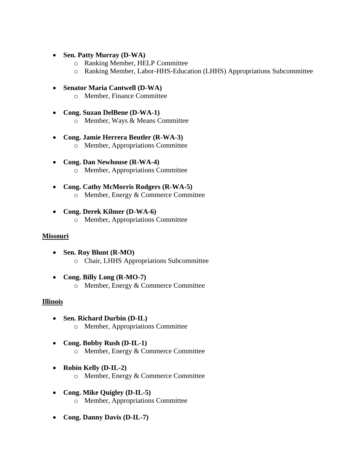- **Sen. Patty Murray (D-WA)**
	- o Ranking Member, HELP Committee
	- o Ranking Member, Labor-HHS-Education (LHHS) Appropriations Subcommittee
- **Senator Maria Cantwell (D-WA)**
	- o Member, Finance Committee
- **Cong. Suzan DelBene (D-WA-1)**  o Member, Ways & Means Committee
- **Cong. Jamie Herrera Beutler (R-WA-3)** o Member, Appropriations Committee
- **Cong. Dan Newhouse (R-WA-4)**  o Member, Appropriations Committee
- **Cong. Cathy McMorris Rodgers (R-WA-5)** o Member, Energy & Commerce Committee
- **Cong. Derek Kilmer (D-WA-6)**  o Member, Appropriations Committee

#### **Missouri**

- **Sen. Roy Blunt (R-MO)** o Chair, LHHS Appropriations Subcommittee
- **Cong. Billy Long (R-MO-7)** o Member, Energy & Commerce Committee

#### **Illinois**

- **Sen. Richard Durbin (D-IL)** o Member, Appropriations Committee
- **Cong. Bobby Rush (D-IL-1)** o Member, Energy & Commerce Committee
- **Robin Kelly (D-IL-2)**
	- o Member, Energy & Commerce Committee
- **Cong. Mike Quigley (D-IL-5)** o Member, Appropriations Committee
- **Cong. Danny Davis (D-IL-7)**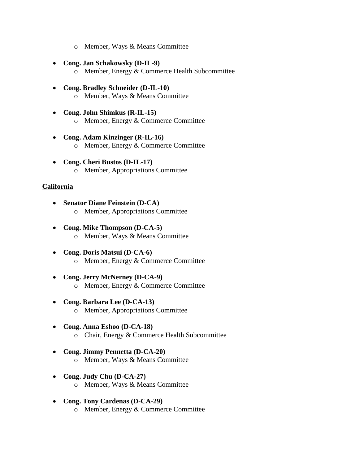- o Member, Ways & Means Committee
- **Cong. Jan Schakowsky (D-IL-9)** o Member, Energy & Commerce Health Subcommittee
- **Cong. Bradley Schneider (D-IL-10)** o Member, Ways & Means Committee
- **Cong. John Shimkus (R-IL-15)**  o Member, Energy & Commerce Committee
- **Cong. Adam Kinzinger (R-IL-16)**  o Member, Energy & Commerce Committee
- **Cong. Cheri Bustos (D-IL-17)**  o Member, Appropriations Committee

## **California**

- **Senator Diane Feinstein (D-CA)** o Member, Appropriations Committee
- **Cong. Mike Thompson (D-CA-5)**  o Member, Ways & Means Committee
- **Cong. Doris Matsui (D-CA-6)** o Member, Energy & Commerce Committee
- **Cong. Jerry McNerney (D-CA-9)**  o Member, Energy & Commerce Committee
- **Cong. Barbara Lee (D-CA-13)**  o Member, Appropriations Committee
- **Cong. Anna Eshoo (D-CA-18)**  o Chair, Energy & Commerce Health Subcommittee
- **Cong. Jimmy Pennetta (D-CA-20)** o Member, Ways & Means Committee
- **Cong. Judy Chu (D-CA-27)** o Member, Ways & Means Committee
- **Cong. Tony Cardenas (D-CA-29)** o Member, Energy & Commerce Committee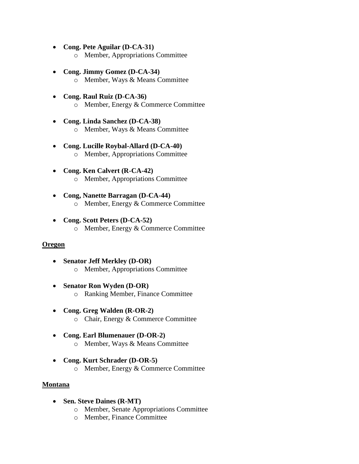- **Cong. Pete Aguilar (D-CA-31)**  o Member, Appropriations Committee
- **Cong. Jimmy Gomez (D-CA-34)** o Member, Ways & Means Committee
- **Cong. Raul Ruiz (D-CA-36)** o Member, Energy & Commerce Committee
- **Cong. Linda Sanchez (D-CA-38)** o Member, Ways & Means Committee
- **Cong. Lucille Roybal-Allard (D-CA-40)** o Member, Appropriations Committee
- **Cong. Ken Calvert (R-CA-42)** o Member, Appropriations Committee
- **Cong, Nanette Barragan (D-CA-44)** o Member, Energy & Commerce Committee
- **Cong. Scott Peters (D-CA-52)** o Member, Energy & Commerce Committee

## **Oregon**

- **Senator Jeff Merkley (D-OR)** o Member, Appropriations Committee
- **Senator Ron Wyden (D-OR)** o Ranking Member, Finance Committee
- **Cong. Greg Walden (R-OR-2)** o Chair, Energy & Commerce Committee
- **Cong. Earl Blumenauer (D-OR-2)** o Member, Ways & Means Committee
- **Cong. Kurt Schrader (D-OR-5)** o Member, Energy & Commerce Committee

#### **Montana**

- **Sen. Steve Daines (R-MT)**
	- o Member, Senate Appropriations Committee
	- o Member, Finance Committee